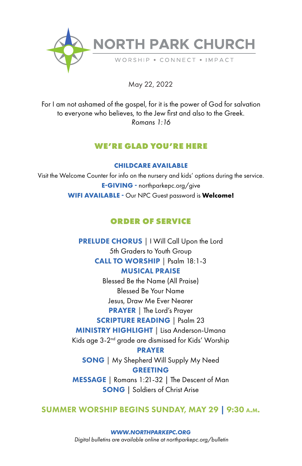

May 22, 2022

For I am not ashamed of the gospel, for it is the power of God for salvation to everyone who believes, to the Jew first and also to the Greek. *Romans 1:16*

# **WE'RE GLAD YOU'RE HERE**

**CHILDCARE AVAILABLE**

Visit the Welcome Counter for info on the nursery and kids' options during the service. **E-GIVING -** northparkepc.org/give **WIFI AVAILABLE -** Our NPC Guest password is **Welcome!**

# **ORDER OF SERVICE**

PRELUDE CHORUS | I Will Call Upon the Lord 5th Graders to Youth Group CALL TO WORSHIP | Psalm 18:1-3 MUSICAL PRAISE Blessed Be the Name (All Praise) Blessed Be Your Name Jesus, Draw Me Ever Nearer PRAYER | The Lord's Prayer SCRIPTURE READING **|** Psalm 23 MINISTRY HIGHLIGHT **|** Lisa Anderson-Umana Kids age 3-2nd grade are dismissed for Kids' Worship PRAYER SONG | My Shepherd Will Supply My Need GREETING MESSAGE | Romans 1:21-32 | The Descent of Man **SONG** | Soldiers of Christ Arise

# SUMMER WORSHIP BEGINS SUNDAY, MAY 29 | 9:30 a.m.

*WWW.NORTHPARKEPC.ORG Digital bulletins are available online at northparkepc.org/bulletin*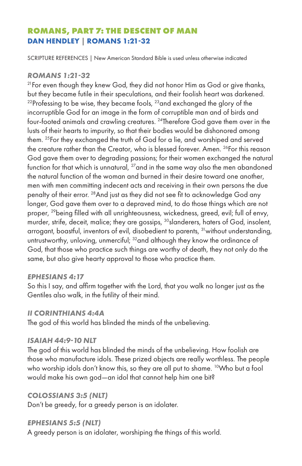# **ROMANS, PART 7: THE DESCENT OF MAN DAN HENDLEY | ROMANS 1:21-32**

SCRIPTURE REFERENCES | New American Standard Bible is used unless otherwise indicated

## *ROMANS 1:21-32*

<sup>21</sup>For even though they knew God, they did not honor Him as God or give thanks, but they became futile in their speculations, and their foolish heart was darkened.  $22$ Professing to be wise, they became fools,  $23$  and exchanged the glory of the incorruptible God for an image in the form of corruptible man and of birds and four-footed animals and crawling creatures. 24Therefore God gave them over in the lusts of their hearts to impurity, so that their bodies would be dishonored among them. 25For they exchanged the truth of God for a lie, and worshiped and served the creature rather than the Creator, who is blessed forever. Amen. <sup>26</sup>For this reason God gave them over to degrading passions; for their women exchanged the natural function for that which is unnatural,  $^{27}$  and in the same way also the men abandoned the natural function of the woman and burned in their desire toward one another, men with men committing indecent acts and receiving in their own persons the due penalty of their error. 28And just as they did not see fit to acknowledge God any longer, God gave them over to a depraved mind, to do those things which are not proper, <sup>29</sup>being filled with all unrighteousness, wickedness, greed, evil; full of envy, murder, strife, deceit, malice; they are gossips, <sup>30</sup>slanderers, haters of God, insolent, arrogant, boastful, inventors of evil, disobedient to parents, <sup>31</sup> without understanding, untrustworthy, unloving, unmerciful; <sup>32</sup>and although they know the ordinance of God, that those who practice such things are worthy of death, they not only do the same, but also give hearty approval to those who practice them.

## *EPHESIANS 4:17*

So this I say, and affirm together with the Lord, that you walk no longer just as the Gentiles also walk, in the futility of their mind.

## *II CORINTHIANS 4:4A*

The god of this world has blinded the minds of the unbelieving.

## *ISAIAH 44:9-10 NLT*

The god of this world has blinded the minds of the unbelieving. How foolish are those who manufacture idols. These prized objects are really worthless. The people who worship idols don't know this, so they are all put to shame. <sup>10</sup>Who but a fool would make his own god—an idol that cannot help him one bit?

## *COLOSSIANS 3:5 (NLT)*

Don't be greedy, for a greedy person is an idolater.

## *EPHESIANS 5:5 (NLT)*

A greedy person is an idolater, worshiping the things of this world.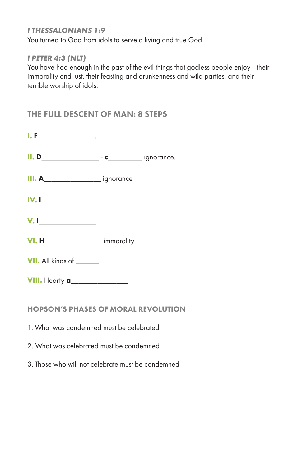## *I THESSALONIANS 1:9*

You turned to God from idols to serve a living and true God.

## *I PETER 4:3 (NLT)*

You have had enough in the past of the evil things that godless people enjoy—their immorality and lust, their feasting and drunkenness and wild parties, and their terrible worship of idols.

# THE FULL DESCENT OF MAN: 8 STEPS

| $I. F_$                                     |  |
|---------------------------------------------|--|
|                                             |  |
| III. A_________________________ ignorance   |  |
| IV.1                                        |  |
| $V.$ $\qquad \qquad$                        |  |
| <b>VI. H</b> immorality                     |  |
| VII. All kinds of ______                    |  |
| <b>VIII.</b> Hearty <b>a_______________</b> |  |
|                                             |  |

## HOPSON'S PHASES OF MORAL REVOLUTION

- 1. What was condemned must be celebrated
- 2. What was celebrated must be condemned
- 3. Those who will not celebrate must be condemned